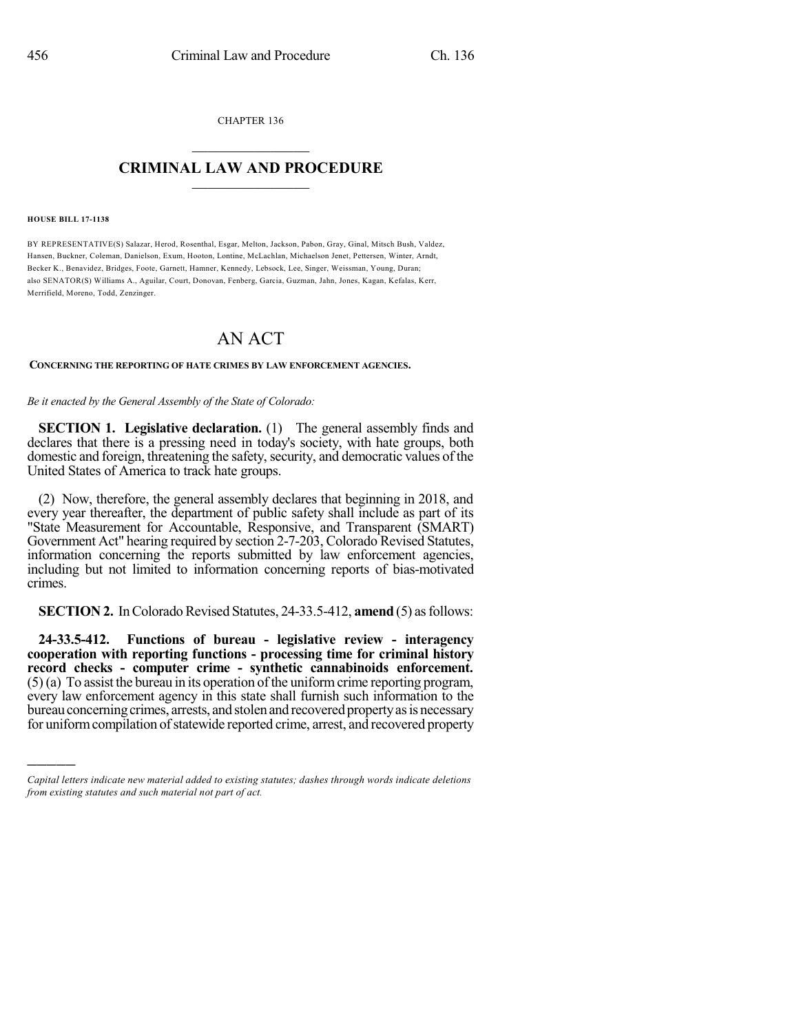CHAPTER 136

## $\overline{\phantom{a}}$  . The set of the set of the set of the set of the set of the set of the set of the set of the set of the set of the set of the set of the set of the set of the set of the set of the set of the set of the set o **CRIMINAL LAW AND PROCEDURE**  $\frac{1}{2}$  ,  $\frac{1}{2}$  ,  $\frac{1}{2}$  ,  $\frac{1}{2}$  ,  $\frac{1}{2}$  ,  $\frac{1}{2}$  ,  $\frac{1}{2}$

#### **HOUSE BILL 17-1138**

)))))

BY REPRESENTATIVE(S) Salazar, Herod, Rosenthal, Esgar, Melton, Jackson, Pabon, Gray, Ginal, Mitsch Bush, Valdez, Hansen, Buckner, Coleman, Danielson, Exum, Hooton, Lontine, McLachlan, Michaelson Jenet, Pettersen, Winter, Arndt, Becker K., Benavidez, Bridges, Foote, Garnett, Hamner, Kennedy, Lebsock, Lee, Singer, Weissman, Young, Duran; also SENATOR(S) Williams A., Aguilar, Court, Donovan, Fenberg, Garcia, Guzman, Jahn, Jones, Kagan, Kefalas, Kerr, Merrifield, Moreno, Todd, Zenzinger.

# AN ACT

### **CONCERNING THE REPORTING OF HATE CRIMES BY LAW ENFORCEMENT AGENCIES.**

### *Be it enacted by the General Assembly of the State of Colorado:*

**SECTION 1. Legislative declaration.** (1) The general assembly finds and declares that there is a pressing need in today's society, with hate groups, both domestic and foreign, threatening the safety, security, and democratic values of the United States of America to track hate groups.

(2) Now, therefore, the general assembly declares that beginning in 2018, and every year thereafter, the department of public safety shall include as part of its "State Measurement for Accountable, Responsive, and Transparent (SMART) Government Act" hearing required by section 2-7-203, Colorado Revised Statutes, information concerning the reports submitted by law enforcement agencies, including but not limited to information concerning reports of bias-motivated crimes.

**SECTION 2.** In Colorado Revised Statutes, 24-33.5-412, **amend** (5) as follows:

**24-33.5-412. Functions of bureau - legislative review - interagency cooperation with reporting functions - processing time for criminal history record checks - computer crime - synthetic cannabinoids enforcement.**  $(5)$  (a) To assist the bureau in its operation of the uniform crime reporting program, every law enforcement agency in this state shall furnish such information to the bureau concerning crimes, arrests, and stolen and recovered property as is necessary for uniform compilation of statewide reported crime, arrest, and recovered property

*Capital letters indicate new material added to existing statutes; dashes through words indicate deletions from existing statutes and such material not part of act.*